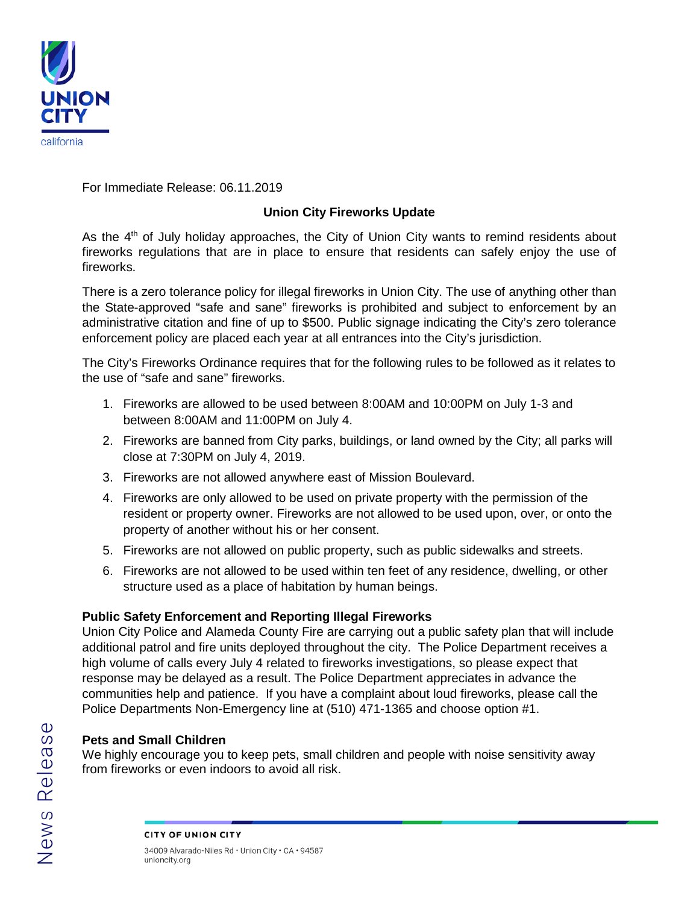

For Immediate Release: 06.11.2019

## **Union City Fireworks Update**

As the  $4<sup>th</sup>$  of July holiday approaches, the City of Union City wants to remind residents about fireworks regulations that are in place to ensure that residents can safely enjoy the use of fireworks.

There is a zero tolerance policy for illegal fireworks in Union City. The use of anything other than the State-approved "safe and sane" fireworks is prohibited and subject to enforcement by an administrative citation and fine of up to \$500. Public signage indicating the City's zero tolerance enforcement policy are placed each year at all entrances into the City's jurisdiction.

The City's Fireworks Ordinance requires that for the following rules to be followed as it relates to the use of "safe and sane" fireworks.

- 1. Fireworks are allowed to be used between 8:00AM and 10:00PM on July 1-3 and between 8:00AM and 11:00PM on July 4.
- 2. Fireworks are banned from City parks, buildings, or land owned by the City; all parks will close at 7:30PM on July 4, 2019.
- 3. Fireworks are not allowed anywhere east of Mission Boulevard.
- 4. Fireworks are only allowed to be used on private property with the permission of the resident or property owner. Fireworks are not allowed to be used upon, over, or onto the property of another without his or her consent.
- 5. Fireworks are not allowed on public property, such as public sidewalks and streets.
- 6. Fireworks are not allowed to be used within ten feet of any residence, dwelling, or other structure used as a place of habitation by human beings.

## **Public Safety Enforcement and Reporting Illegal Fireworks**

Union City Police and Alameda County Fire are carrying out a public safety plan that will include additional patrol and fire units deployed throughout the city. The Police Department receives a high volume of calls every July 4 related to fireworks investigations, so please expect that response may be delayed as a result. The Police Department appreciates in advance the communities help and patience. If you have a complaint about loud fireworks, please call the Police Departments Non-Emergency line at (510) 471-1365 and choose option #1.

## **Pets and Small Children**

We highly encourage you to keep pets, small children and people with noise sensitivity away from fireworks or even indoors to avoid all risk.